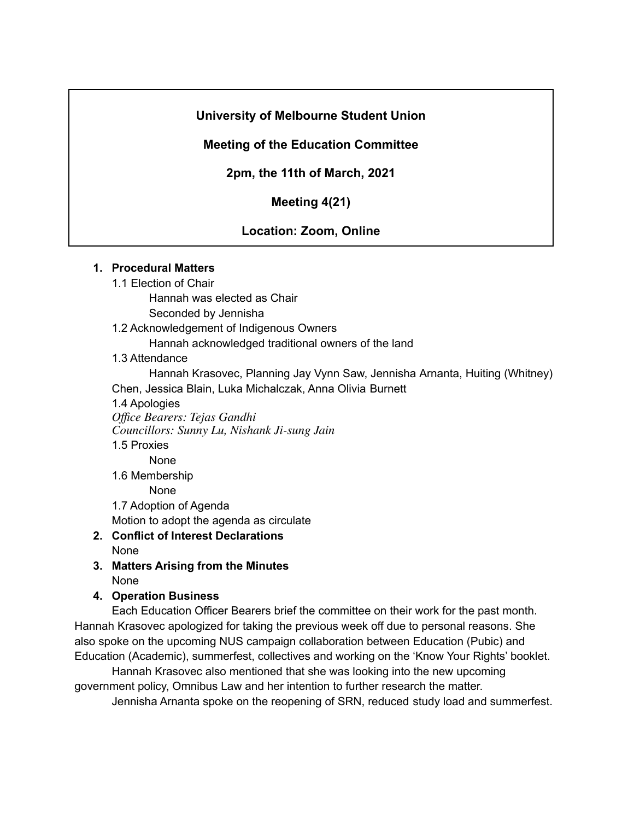## **University of Melbourne Student Union**

## **Meeting of the Education Committee**

**2pm, the 11th of March, 2021**

**Meeting 4(21)**

# **Location: Zoom, Online**

### **1. Procedural Matters**

1.1 Election of Chair

Hannah was elected as Chair

Seconded by Jennisha

1.2 Acknowledgement of Indigenous Owners

Hannah acknowledged traditional owners of the land

1.3 Attendance

Hannah Krasovec, Planning Jay Vynn Saw, Jennisha Arnanta, Huiting (Whitney) Chen, Jessica Blain, Luka Michalczak, Anna Olivia Burnett

1.4 Apologies

*Office Bearers: Tejas Gandhi Councillors: Sunny Lu, Nishank Ji-sung Jain*

1.5 Proxies

None 1.6 Membership

None

1.7 Adoption of Agenda

Motion to adopt the agenda as circulate

- **2. Conflict of Interest Declarations** None
- **3. Matters Arising from the Minutes** None
- **4. Operation Business**

Each Education Officer Bearers brief the committee on their work for the past month. Hannah Krasovec apologized for taking the previous week off due to personal reasons. She also spoke on the upcoming NUS campaign collaboration between Education (Pubic) and Education (Academic), summerfest, collectives and working on the 'Know Your Rights' booklet.

Hannah Krasovec also mentioned that she was looking into the new upcoming government policy, Omnibus Law and her intention to further research the matter.

Jennisha Arnanta spoke on the reopening of SRN, reduced study load and summerfest.